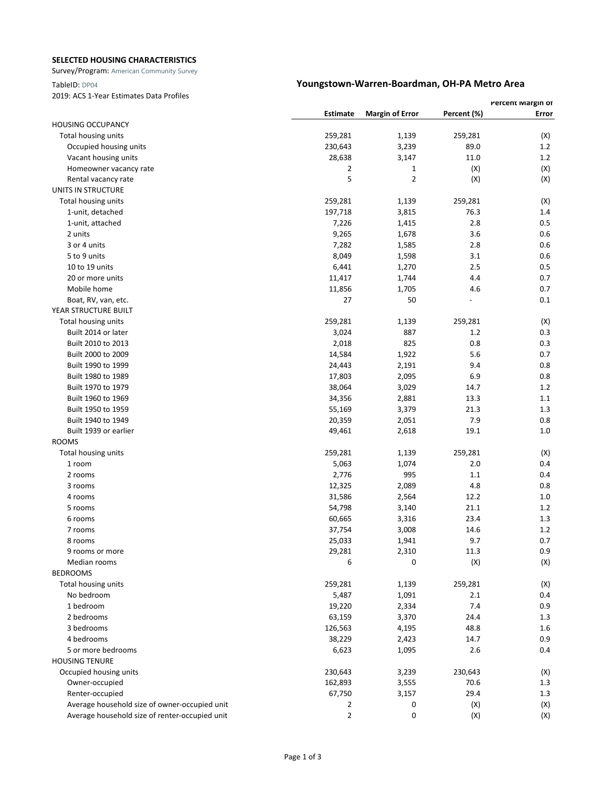### **SELECTED HOUSING CHARACTERISTICS**

Survey/Program: American Community Survey

2019: ACS 1-Year Estimates Data Profiles

## TableID: DP04 **Youngstown-Warren-Boardman, OH-PA Metro Area**

|                                                |                |                        |             | <b>Percent Margin or</b> |  |
|------------------------------------------------|----------------|------------------------|-------------|--------------------------|--|
|                                                | Estimate       | <b>Margin of Error</b> | Percent (%) | Error                    |  |
| <b>HOUSING OCCUPANCY</b>                       |                |                        |             |                          |  |
| Total housing units                            | 259,281        | 1,139                  | 259,281     | (X)                      |  |
| Occupied housing units                         | 230,643        | 3,239                  | 89.0        | 1.2                      |  |
| Vacant housing units                           | 28,638         | 3,147                  | 11.0        | 1.2                      |  |
| Homeowner vacancy rate                         | 2              | 1                      | (X)         | (X)                      |  |
| Rental vacancy rate                            | 5              | 2                      | (X)         | (X)                      |  |
| UNITS IN STRUCTURE                             |                |                        |             |                          |  |
| Total housing units                            | 259,281        | 1,139                  | 259,281     | (X)                      |  |
| 1-unit, detached                               | 197,718        | 3,815                  | 76.3        | 1.4                      |  |
| 1-unit, attached                               | 7,226          | 1,415                  | 2.8         | 0.5                      |  |
| 2 units                                        | 9,265          | 1,678                  | 3.6         | 0.6                      |  |
| 3 or 4 units                                   | 7,282          | 1,585                  | 2.8         | 0.6                      |  |
| 5 to 9 units                                   | 8,049          | 1,598                  | 3.1         | 0.6                      |  |
| 10 to 19 units                                 | 6,441          | 1,270                  | 2.5         | 0.5                      |  |
| 20 or more units                               | 11,417         | 1,744                  | 4.4         | 0.7                      |  |
| Mobile home                                    | 11,856         | 1,705                  | 4.6         | 0.7                      |  |
| Boat, RV, van, etc.                            | 27             | 50                     |             | 0.1                      |  |
| YEAR STRUCTURE BUILT                           |                |                        |             |                          |  |
| Total housing units                            | 259,281        | 1,139                  | 259,281     | (X)                      |  |
| Built 2014 or later                            | 3,024          | 887                    | 1.2         | 0.3                      |  |
| Built 2010 to 2013                             | 2,018          | 825                    | 0.8         | 0.3                      |  |
| Built 2000 to 2009                             | 14,584         | 1,922                  | 5.6         | 0.7                      |  |
| Built 1990 to 1999                             | 24,443         | 2,191                  | 9.4         | 0.8                      |  |
| Built 1980 to 1989                             | 17,803         | 2,095                  | 6.9         | 0.8                      |  |
| Built 1970 to 1979                             | 38,064         | 3,029                  | 14.7        | 1.2                      |  |
| Built 1960 to 1969                             | 34,356         | 2,881                  | 13.3        | 1.1                      |  |
| Built 1950 to 1959                             | 55,169         | 3,379                  | 21.3        | 1.3                      |  |
| Built 1940 to 1949                             | 20,359         | 2,051                  | 7.9         | 0.8                      |  |
| Built 1939 or earlier                          | 49,461         | 2,618                  | 19.1        | 1.0                      |  |
| <b>ROOMS</b>                                   |                |                        |             |                          |  |
| Total housing units                            | 259,281        | 1,139                  | 259,281     | (X)                      |  |
| 1 room                                         | 5,063          | 1,074                  | 2.0         | 0.4                      |  |
| 2 rooms                                        | 2,776          | 995                    | 1.1         | 0.4                      |  |
| 3 rooms                                        | 12,325         | 2,089                  | 4.8         | 0.8                      |  |
| 4 rooms                                        | 31,586         | 2,564                  | 12.2        | 1.0                      |  |
| 5 rooms                                        | 54,798         | 3,140                  | 21.1        | 1.2                      |  |
| 6 rooms                                        | 60,665         | 3,316                  | 23.4        | 1.3                      |  |
| 7 rooms                                        | 37,754         | 3,008                  | 14.6        | 1.2                      |  |
| 8 rooms                                        | 25,033         | 1,941                  | 9.7         | 0.7                      |  |
| 9 rooms or more                                | 29,281         | 2,310                  | 11.3        | 0.9                      |  |
| Median rooms                                   | 6              | 0                      | (X)         | (X)                      |  |
| <b>BEDROOMS</b>                                |                |                        |             |                          |  |
| Total housing units                            | 259,281        | 1,139                  | 259,281     | (X)                      |  |
| No bedroom                                     | 5,487          | 1,091                  | 2.1         | 0.4                      |  |
| 1 bedroom                                      | 19,220         | 2,334                  | 7.4         | 0.9                      |  |
| 2 bedrooms                                     | 63,159         | 3,370                  | 24.4        | 1.3                      |  |
| 3 bedrooms                                     | 126,563        | 4,195                  | 48.8        | 1.6                      |  |
| 4 bedrooms                                     | 38,229         | 2,423                  | 14.7        | 0.9                      |  |
| 5 or more bedrooms                             | 6,623          | 1,095                  | 2.6         | 0.4                      |  |
| <b>HOUSING TENURE</b>                          |                |                        |             |                          |  |
| Occupied housing units                         | 230,643        | 3,239                  | 230,643     | (X)                      |  |
| Owner-occupied                                 | 162,893        | 3,555                  | 70.6        | 1.3                      |  |
| Renter-occupied                                | 67,750         | 3,157                  | 29.4        | 1.3                      |  |
| Average household size of owner-occupied unit  | 2              | 0                      | (X)         | (X)                      |  |
| Average household size of renter-occupied unit | $\overline{2}$ | 0                      | (X)         | (X)                      |  |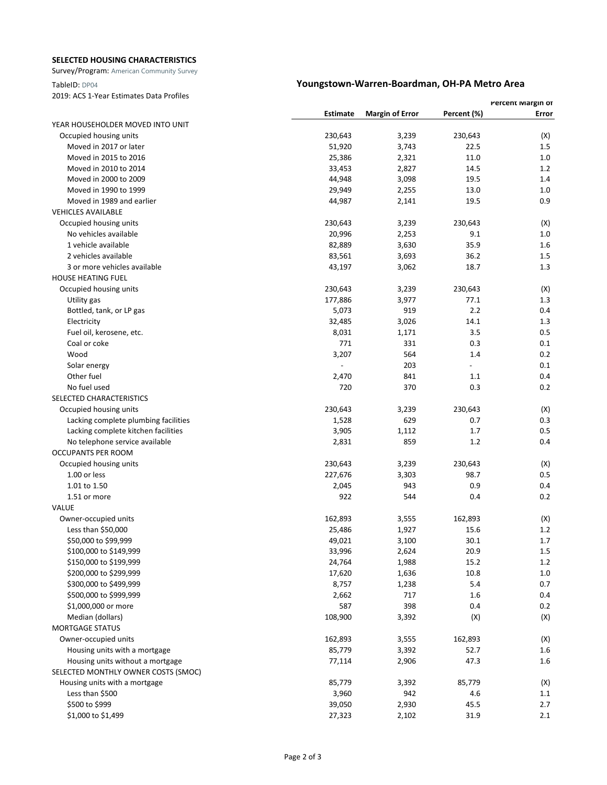### **SELECTED HOUSING CHARACTERISTICS**

Survey/Program: American Community Survey

### TableID: DP04 **Youngstown-Warren-Boardman, OH-PA Metro Area**

2019: ACS 1-Year Estimates Data Profiles

|                                      |                 |                        |             | Percent Margin or |
|--------------------------------------|-----------------|------------------------|-------------|-------------------|
|                                      | <b>Estimate</b> | <b>Margin of Error</b> | Percent (%) | Error             |
| YEAR HOUSEHOLDER MOVED INTO UNIT     |                 |                        |             |                   |
| Occupied housing units               | 230,643         | 3,239                  | 230,643     | (X)               |
| Moved in 2017 or later               | 51,920          | 3,743                  | 22.5        | $1.5\,$           |
| Moved in 2015 to 2016                | 25,386          | 2,321                  | 11.0        | 1.0               |
| Moved in 2010 to 2014                | 33,453          | 2,827                  | 14.5        | 1.2               |
| Moved in 2000 to 2009                | 44,948          | 3,098                  | 19.5        | 1.4               |
| Moved in 1990 to 1999                | 29,949          | 2,255                  | 13.0        | 1.0               |
| Moved in 1989 and earlier            | 44,987          | 2,141                  | 19.5        | 0.9               |
| <b>VEHICLES AVAILABLE</b>            |                 |                        |             |                   |
| Occupied housing units               | 230,643         | 3,239                  | 230,643     | (X)               |
| No vehicles available                | 20,996          | 2,253                  | 9.1         | 1.0               |
| 1 vehicle available                  | 82,889          | 3,630                  | 35.9        | 1.6               |
| 2 vehicles available                 | 83,561          | 3,693                  | 36.2        | $1.5\,$           |
| 3 or more vehicles available         | 43,197          | 3,062                  | 18.7        | 1.3               |
| <b>HOUSE HEATING FUEL</b>            |                 |                        |             |                   |
| Occupied housing units               | 230,643         | 3,239                  | 230,643     | (X)               |
| Utility gas                          | 177,886         | 3,977                  | 77.1        | 1.3               |
| Bottled, tank, or LP gas             | 5,073           | 919                    | 2.2         | 0.4               |
| Electricity                          | 32,485          | 3,026                  | 14.1        | 1.3               |
| Fuel oil, kerosene, etc.             | 8,031           | 1,171                  | 3.5         | 0.5               |
| Coal or coke                         | 771             | 331                    | 0.3         | 0.1               |
| Wood                                 | 3,207           | 564                    | 1.4         | 0.2               |
| Solar energy                         | $\frac{1}{2}$   | 203                    |             | 0.1               |
| Other fuel                           | 2,470           | 841                    | 1.1         | 0.4               |
| No fuel used                         | 720             | 370                    | 0.3         | 0.2               |
| SELECTED CHARACTERISTICS             |                 |                        |             |                   |
| Occupied housing units               | 230,643         | 3,239                  | 230,643     | (X)               |
| Lacking complete plumbing facilities | 1,528           | 629                    | 0.7         | 0.3               |
| Lacking complete kitchen facilities  | 3,905           | 1,112                  | 1.7         | 0.5               |
| No telephone service available       | 2,831           | 859                    | 1.2         | 0.4               |
| <b>OCCUPANTS PER ROOM</b>            |                 |                        |             |                   |
| Occupied housing units               | 230,643         | 3,239                  | 230,643     | (X)               |
| 1.00 or less                         | 227,676         | 3,303                  | 98.7        | 0.5               |
| 1.01 to 1.50                         | 2,045           | 943                    | 0.9         | 0.4               |
| 1.51 or more                         | 922             | 544                    | 0.4         | 0.2               |
| VALUE                                |                 |                        |             |                   |
| Owner-occupied units                 | 162,893         | 3,555                  | 162,893     | (X)               |
| Less than \$50,000                   | 25,486          | 1,927                  | 15.6        | 1.2               |
| \$50,000 to \$99,999                 | 49,021          | 3,100                  | 30.1        | 1.7               |
| \$100,000 to \$149,999               | 33,996          | 2,624                  | 20.9        | 1.5               |
| \$150,000 to \$199,999               | 24,764          | 1,988                  | 15.2        | $1.2\,$           |
| \$200,000 to \$299,999               | 17,620          | 1,636                  | 10.8        | 1.0               |
| \$300,000 to \$499,999               | 8,757           | 1,238                  | $5.4$       | 0.7               |
| \$500,000 to \$999,999               | 2,662           | 717                    | 1.6         | 0.4               |
| \$1,000,000 or more                  | 587             | 398                    | 0.4         | 0.2               |
| Median (dollars)                     | 108,900         | 3,392                  | (X)         | (X)               |
| <b>MORTGAGE STATUS</b>               |                 |                        |             |                   |
| Owner-occupied units                 | 162,893         | 3,555                  | 162,893     | (X)               |
| Housing units with a mortgage        | 85,779          | 3,392                  | 52.7        | 1.6               |
| Housing units without a mortgage     | 77,114          | 2,906                  | 47.3        | 1.6               |
| SELECTED MONTHLY OWNER COSTS (SMOC)  |                 |                        |             |                   |
| Housing units with a mortgage        | 85,779          | 3,392                  | 85,779      | (X)               |
| Less than \$500                      | 3,960           | 942                    | 4.6         | 1.1               |
| \$500 to \$999                       | 39,050          | 2,930                  | 45.5        | 2.7               |
| \$1,000 to \$1,499                   | 27,323          | 2,102                  | 31.9        | 2.1               |